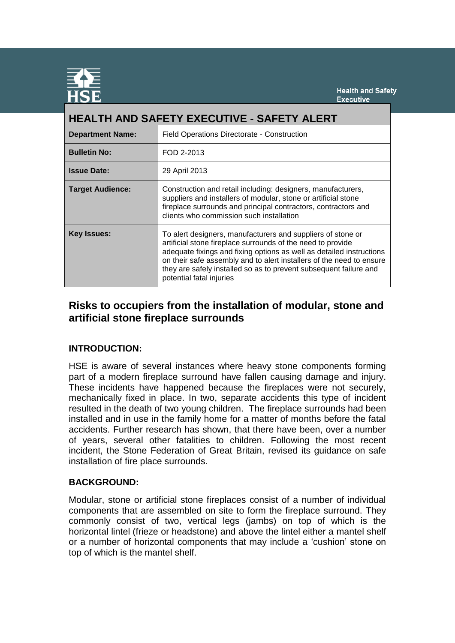

| <b>HEALTH AND SAFETY EXECUTIVE - SAFETY ALERT</b> |                                                                                                                                                                                                                                                                                                                                                                             |
|---------------------------------------------------|-----------------------------------------------------------------------------------------------------------------------------------------------------------------------------------------------------------------------------------------------------------------------------------------------------------------------------------------------------------------------------|
| <b>Department Name:</b>                           | Field Operations Directorate - Construction                                                                                                                                                                                                                                                                                                                                 |
| <b>Bulletin No:</b>                               | FOD 2-2013                                                                                                                                                                                                                                                                                                                                                                  |
| <b>Issue Date:</b>                                | 29 April 2013                                                                                                                                                                                                                                                                                                                                                               |
| <b>Target Audience:</b>                           | Construction and retail including: designers, manufacturers,<br>suppliers and installers of modular, stone or artificial stone<br>fireplace surrounds and principal contractors, contractors and<br>clients who commission such installation                                                                                                                                |
| <b>Key Issues:</b>                                | To alert designers, manufacturers and suppliers of stone or<br>artificial stone fireplace surrounds of the need to provide<br>adequate fixings and fixing options as well as detailed instructions<br>on their safe assembly and to alert installers of the need to ensure<br>they are safely installed so as to prevent subsequent failure and<br>potential fatal injuries |

# **Risks to occupiers from the installation of modular, stone and artificial stone fireplace surrounds**

# **INTRODUCTION:**

HSE is aware of several instances where heavy stone components forming part of a modern fireplace surround have fallen causing damage and injury. These incidents have happened because the fireplaces were not securely, mechanically fixed in place. In two, separate accidents this type of incident resulted in the death of two young children. The fireplace surrounds had been installed and in use in the family home for a matter of months before the fatal accidents. Further research has shown, that there have been, over a number of years, several other fatalities to children. Following the most recent incident, the Stone Federation of Great Britain, revised its guidance on safe installation of fire place surrounds.

# **BACKGROUND:**

Modular, stone or artificial stone fireplaces consist of a number of individual components that are assembled on site to form the fireplace surround. They commonly consist of two, vertical legs (jambs) on top of which is the horizontal lintel (frieze or headstone) and above the lintel either a mantel shelf or a number of horizontal components that may include a 'cushion' stone on top of which is the mantel shelf.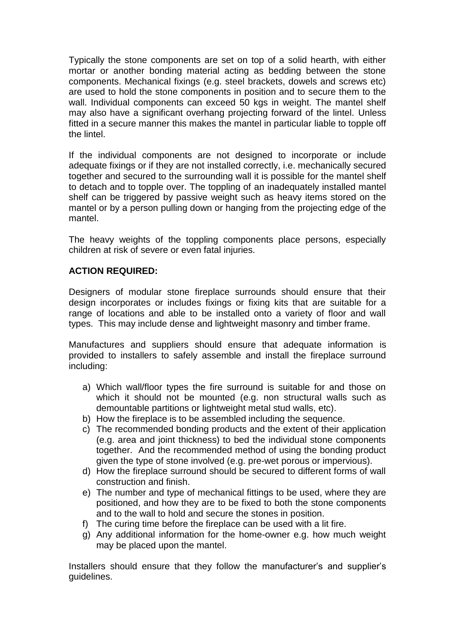Typically the stone components are set on top of a solid hearth, with either mortar or another bonding material acting as bedding between the stone components. Mechanical fixings (e.g. steel brackets, dowels and screws etc) are used to hold the stone components in position and to secure them to the wall. Individual components can exceed 50 kgs in weight. The mantel shelf may also have a significant overhang projecting forward of the lintel. Unless fitted in a secure manner this makes the mantel in particular liable to topple off the lintel.

If the individual components are not designed to incorporate or include adequate fixings or if they are not installed correctly, i.e. mechanically secured together and secured to the surrounding wall it is possible for the mantel shelf to detach and to topple over. The toppling of an inadequately installed mantel shelf can be triggered by passive weight such as heavy items stored on the mantel or by a person pulling down or hanging from the projecting edge of the mantel.

The heavy weights of the toppling components place persons, especially children at risk of severe or even fatal injuries.

## **ACTION REQUIRED:**

Designers of modular stone fireplace surrounds should ensure that their design incorporates or includes fixings or fixing kits that are suitable for a range of locations and able to be installed onto a variety of floor and wall types. This may include dense and lightweight masonry and timber frame.

Manufactures and suppliers should ensure that adequate information is provided to installers to safely assemble and install the fireplace surround including:

- a) Which wall/floor types the fire surround is suitable for and those on which it should not be mounted (e.g. non structural walls such as demountable partitions or lightweight metal stud walls, etc).
- b) How the fireplace is to be assembled including the sequence.
- c) The recommended bonding products and the extent of their application (e.g. area and joint thickness) to bed the individual stone components together. And the recommended method of using the bonding product given the type of stone involved (e.g. pre-wet porous or impervious).
- d) How the fireplace surround should be secured to different forms of wall construction and finish.
- e) The number and type of mechanical fittings to be used, where they are positioned, and how they are to be fixed to both the stone components and to the wall to hold and secure the stones in position.
- f) The curing time before the fireplace can be used with a lit fire.
- g) Any additional information for the home-owner e.g. how much weight may be placed upon the mantel.

Installers should ensure that they follow the manufacturer's and supplier's guidelines.